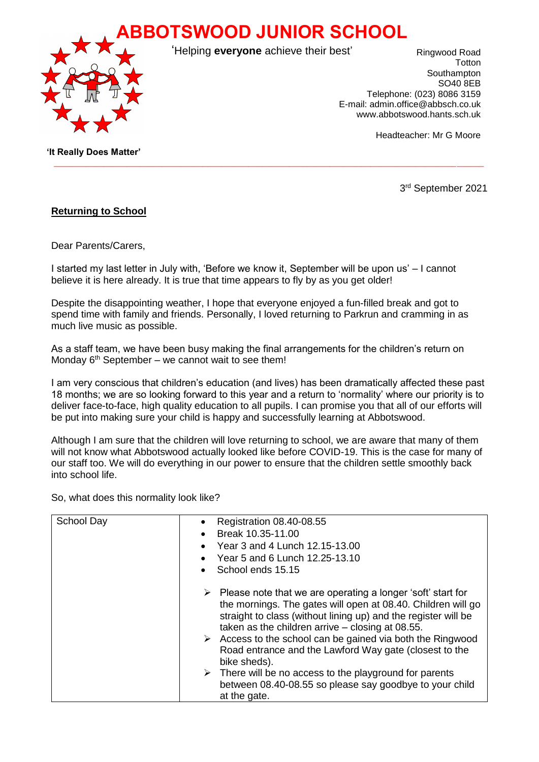**ABBOTSWOOD JUNIOR SCHOOL**



'Helping **everyone** achieve their best'

 $\_$  ,  $\_$  ,  $\_$  ,  $\_$  ,  $\_$  ,  $\_$  ,  $\_$  ,  $\_$  ,  $\_$  ,  $\_$  ,  $\_$  ,  $\_$  ,  $\_$  ,  $\_$  ,  $\_$  ,  $\_$  ,  $\_$  ,  $\_$  ,  $\_$  ,  $\_$  ,  $\_$  ,  $\_$  ,  $\_$  ,  $\_$  ,  $\_$  ,  $\_$  ,  $\_$  ,  $\_$  ,  $\_$  ,  $\_$  ,  $\_$  ,  $\_$  ,  $\_$  ,  $\_$  ,  $\_$  ,  $\_$  ,  $\_$  ,

Ringwood Road **T**otton **Southampton** SO40 8EB Telephone: (023) 8086 3159 E-mail: admin.office@abbsch.co.uk www.abbotswood.hants.sch.uk

Headteacher: Mr G Moore

 **'It Really Does Matter'**

3 rd September 2021

## **Returning to School**

Dear Parents/Carers,

I started my last letter in July with, 'Before we know it, September will be upon us' – I cannot believe it is here already. It is true that time appears to fly by as you get older!

Despite the disappointing weather, I hope that everyone enjoyed a fun-filled break and got to spend time with family and friends. Personally, I loved returning to Parkrun and cramming in as much live music as possible.

As a staff team, we have been busy making the final arrangements for the children's return on Monday  $6<sup>th</sup>$  September – we cannot wait to see them!

I am very conscious that children's education (and lives) has been dramatically affected these past 18 months; we are so looking forward to this year and a return to 'normality' where our priority is to deliver face-to-face, high quality education to all pupils. I can promise you that all of our efforts will be put into making sure your child is happy and successfully learning at Abbotswood.

Although I am sure that the children will love returning to school, we are aware that many of them will not know what Abbotswood actually looked like before COVID-19. This is the case for many of our staff too. We will do everything in our power to ensure that the children settle smoothly back into school life.

So, what does this normality look like?

| <b>School Day</b> | <b>Registration 08.40-08.55</b><br>Break 10.35-11.00<br>Year 3 and 4 Lunch 12.15-13.00<br>Year 5 and 6 Lunch 12.25-13.10<br>School ends 15.15                                                                                                                                                                                                                                                                               |
|-------------------|-----------------------------------------------------------------------------------------------------------------------------------------------------------------------------------------------------------------------------------------------------------------------------------------------------------------------------------------------------------------------------------------------------------------------------|
|                   | $\triangleright$ Please note that we are operating a longer 'soft' start for<br>the mornings. The gates will open at 08.40. Children will go<br>straight to class (without lining up) and the register will be<br>taken as the children arrive $-$ closing at 08.55.<br>$\triangleright$ Access to the school can be gained via both the Ringwood<br>Road entrance and the Lawford Way gate (closest to the<br>bike sheds). |
|                   | $\triangleright$ There will be no access to the playground for parents<br>between 08.40-08.55 so please say goodbye to your child<br>at the gate.                                                                                                                                                                                                                                                                           |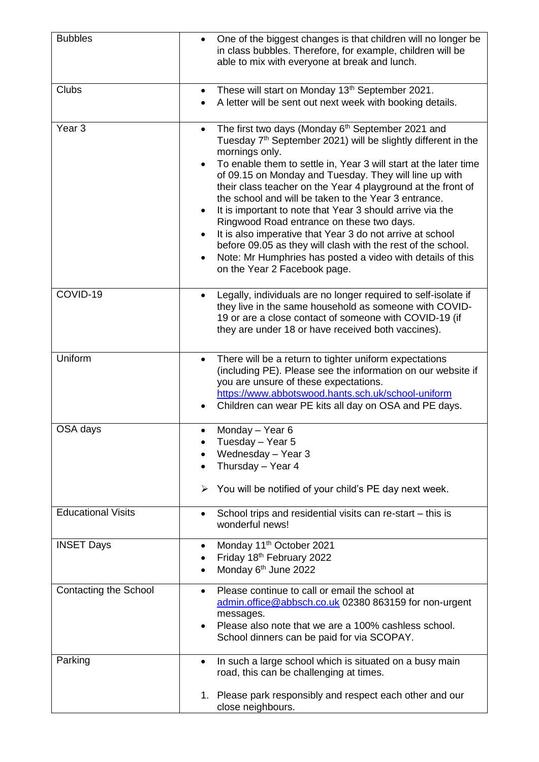| <b>Bubbles</b>               | One of the biggest changes is that children will no longer be<br>$\bullet$<br>in class bubbles. Therefore, for example, children will be<br>able to mix with everyone at break and lunch.                                                                                                                                                                                                                                                                                                                                                                                                                                                                                                                                                                                                      |
|------------------------------|------------------------------------------------------------------------------------------------------------------------------------------------------------------------------------------------------------------------------------------------------------------------------------------------------------------------------------------------------------------------------------------------------------------------------------------------------------------------------------------------------------------------------------------------------------------------------------------------------------------------------------------------------------------------------------------------------------------------------------------------------------------------------------------------|
| <b>Clubs</b>                 | These will start on Monday 13th September 2021.<br>A letter will be sent out next week with booking details.                                                                                                                                                                                                                                                                                                                                                                                                                                                                                                                                                                                                                                                                                   |
| Year <sub>3</sub>            | The first two days (Monday 6 <sup>th</sup> September 2021 and<br>$\bullet$<br>Tuesday 7 <sup>th</sup> September 2021) will be slightly different in the<br>mornings only.<br>To enable them to settle in, Year 3 will start at the later time<br>$\bullet$<br>of 09.15 on Monday and Tuesday. They will line up with<br>their class teacher on the Year 4 playground at the front of<br>the school and will be taken to the Year 3 entrance.<br>It is important to note that Year 3 should arrive via the<br>Ringwood Road entrance on these two days.<br>It is also imperative that Year 3 do not arrive at school<br>$\bullet$<br>before 09.05 as they will clash with the rest of the school.<br>Note: Mr Humphries has posted a video with details of this<br>on the Year 2 Facebook page. |
| COVID-19                     | Legally, individuals are no longer required to self-isolate if<br>$\bullet$<br>they live in the same household as someone with COVID-<br>19 or are a close contact of someone with COVID-19 (if<br>they are under 18 or have received both vaccines).                                                                                                                                                                                                                                                                                                                                                                                                                                                                                                                                          |
| Uniform                      | There will be a return to tighter uniform expectations<br>$\bullet$<br>(including PE). Please see the information on our website if<br>you are unsure of these expectations.<br>https://www.abbotswood.hants.sch.uk/school-uniform<br>Children can wear PE kits all day on OSA and PE days.                                                                                                                                                                                                                                                                                                                                                                                                                                                                                                    |
| OSA days                     | Monday - Year 6<br>$\bullet$<br>Tuesday - Year 5<br>Wednesday - Year 3<br>Thursday - Year 4<br>You will be notified of your child's PE day next week.<br>➤                                                                                                                                                                                                                                                                                                                                                                                                                                                                                                                                                                                                                                     |
| <b>Educational Visits</b>    | School trips and residential visits can re-start – this is<br>$\bullet$<br>wonderful news!                                                                                                                                                                                                                                                                                                                                                                                                                                                                                                                                                                                                                                                                                                     |
| <b>INSET Days</b>            | Monday 11 <sup>th</sup> October 2021<br>٠<br>Friday 18th February 2022<br>$\bullet$<br>Monday 6 <sup>th</sup> June 2022                                                                                                                                                                                                                                                                                                                                                                                                                                                                                                                                                                                                                                                                        |
| <b>Contacting the School</b> | Please continue to call or email the school at<br>$\bullet$<br>admin.office@abbsch.co.uk 02380 863159 for non-urgent<br>messages.<br>Please also note that we are a 100% cashless school.<br>$\bullet$<br>School dinners can be paid for via SCOPAY.                                                                                                                                                                                                                                                                                                                                                                                                                                                                                                                                           |
| Parking                      | In such a large school which is situated on a busy main<br>٠<br>road, this can be challenging at times.<br>1. Please park responsibly and respect each other and our<br>close neighbours.                                                                                                                                                                                                                                                                                                                                                                                                                                                                                                                                                                                                      |